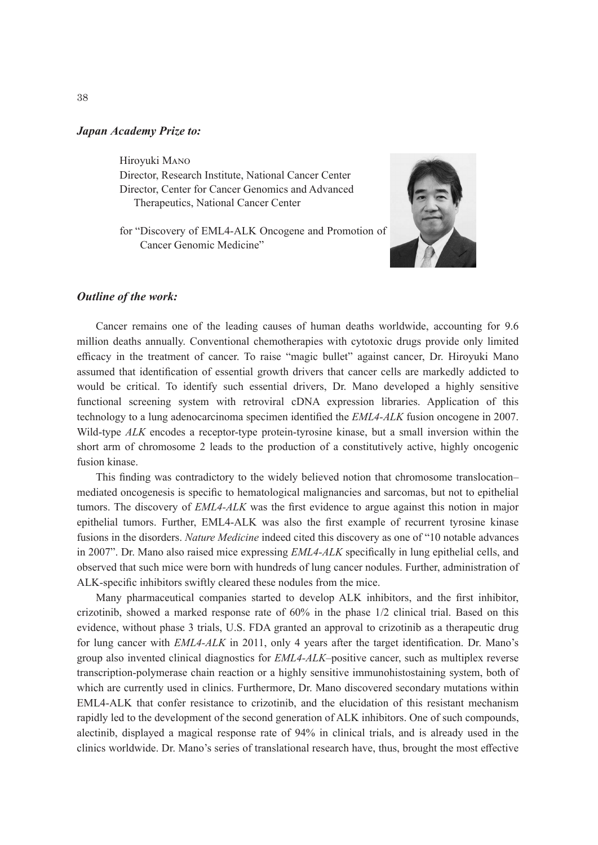## *Japan Academy Prize to:*

Hiroyuki Mano

Director, Research Institute, National Cancer Center Director, Center for Cancer Genomics and Advanced Therapeutics, National Cancer Center

for "Discovery of EML4-ALK Oncogene and Promotion of Cancer Genomic Medicine"



## *Outline of the work:*

Cancer remains one of the leading causes of human deaths worldwide, accounting for 9.6 million deaths annually. Conventional chemotherapies with cytotoxic drugs provide only limited efficacy in the treatment of cancer. To raise "magic bullet" against cancer, Dr. Hiroyuki Mano assumed that identification of essential growth drivers that cancer cells are markedly addicted to would be critical. To identify such essential drivers, Dr. Mano developed a highly sensitive functional screening system with retroviral cDNA expression libraries. Application of this technology to a lung adenocarcinoma specimen identified the *EML4-ALK* fusion oncogene in 2007. Wild-type *ALK* encodes a receptor-type protein-tyrosine kinase, but a small inversion within the short arm of chromosome 2 leads to the production of a constitutively active, highly oncogenic fusion kinase.

This finding was contradictory to the widely believed notion that chromosome translocation– mediated oncogenesis is specific to hematological malignancies and sarcomas, but not to epithelial tumors. The discovery of *EML4-ALK* was the first evidence to argue against this notion in major epithelial tumors. Further, EML4-ALK was also the first example of recurrent tyrosine kinase fusions in the disorders. *Nature Medicine* indeed cited this discovery as one of "10 notable advances in 2007". Dr. Mano also raised mice expressing *EML4-ALK* specifically in lung epithelial cells, and observed that such mice were born with hundreds of lung cancer nodules. Further, administration of ALK-specific inhibitors swiftly cleared these nodules from the mice.

Many pharmaceutical companies started to develop ALK inhibitors, and the first inhibitor, crizotinib, showed a marked response rate of 60% in the phase 1/2 clinical trial. Based on this evidence, without phase 3 trials, U.S. FDA granted an approval to crizotinib as a therapeutic drug for lung cancer with *EML4-ALK* in 2011, only 4 years after the target identification. Dr. Mano's group also invented clinical diagnostics for *EML4-ALK*–positive cancer, such as multiplex reverse transcription-polymerase chain reaction or a highly sensitive immunohistostaining system, both of which are currently used in clinics. Furthermore, Dr. Mano discovered secondary mutations within EML4-ALK that confer resistance to crizotinib, and the elucidation of this resistant mechanism rapidly led to the development of the second generation of ALK inhibitors. One of such compounds, alectinib, displayed a magical response rate of 94% in clinical trials, and is already used in the clinics worldwide. Dr. Mano's series of translational research have, thus, brought the most effective

38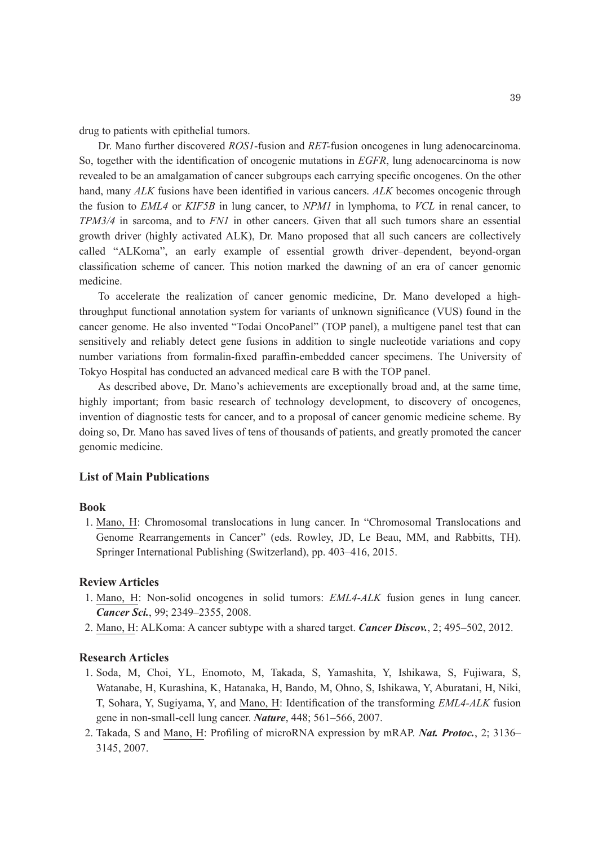drug to patients with epithelial tumors.

Dr. Mano further discovered *ROS1*-fusion and *RET-*fusion oncogenes in lung adenocarcinoma. So, together with the identification of oncogenic mutations in *EGFR*, lung adenocarcinoma is now revealed to be an amalgamation of cancer subgroups each carrying specific oncogenes. On the other hand, many *ALK* fusions have been identified in various cancers. *ALK* becomes oncogenic through the fusion to *EML4* or *KIF5B* in lung cancer, to *NPM1* in lymphoma, to *VCL* in renal cancer, to *TPM3/4* in sarcoma, and to *FN1* in other cancers. Given that all such tumors share an essential growth driver (highly activated ALK), Dr. Mano proposed that all such cancers are collectively called "ALKoma", an early example of essential growth driver–dependent, beyond-organ classification scheme of cancer. This notion marked the dawning of an era of cancer genomic medicine.

To accelerate the realization of cancer genomic medicine, Dr. Mano developed a highthroughput functional annotation system for variants of unknown significance (VUS) found in the cancer genome. He also invented "Todai OncoPanel" (TOP panel), a multigene panel test that can sensitively and reliably detect gene fusions in addition to single nucleotide variations and copy number variations from formalin-fixed paraffin-embedded cancer specimens. The University of Tokyo Hospital has conducted an advanced medical care B with the TOP panel.

As described above, Dr. Mano's achievements are exceptionally broad and, at the same time, highly important; from basic research of technology development, to discovery of oncogenes, invention of diagnostic tests for cancer, and to a proposal of cancer genomic medicine scheme. By doing so, Dr. Mano has saved lives of tens of thousands of patients, and greatly promoted the cancer genomic medicine.

## **List of Main Publications**

#### **Book**

1. Mano, H: Chromosomal translocations in lung cancer. In "Chromosomal Translocations and Genome Rearrangements in Cancer" (eds. Rowley, JD, Le Beau, MM, and Rabbitts, TH). Springer International Publishing (Switzerland), pp. 403–416, 2015.

## **Review Articles**

- 1. Mano, H: Non-solid oncogenes in solid tumors: *EML4-ALK* fusion genes in lung cancer. *Cancer Sci.*, 99; 2349–2355, 2008.
- 2. Mano, H: ALKoma: A cancer subtype with a shared target. *Cancer Discov.*, 2; 495–502, 2012.

# **Research Articles**

- 1. Soda, M, Choi, YL, Enomoto, M, Takada, S, Yamashita, Y, Ishikawa, S, Fujiwara, S, Watanabe, H, Kurashina, K, Hatanaka, H, Bando, M, Ohno, S, Ishikawa, Y, Aburatani, H, Niki, T, Sohara, Y, Sugiyama, Y, and Mano, H: Identification of the transforming *EML4-ALK* fusion gene in non-small-cell lung cancer. *Nature*, 448; 561–566, 2007.
- 2. Takada, S and Mano, H: Profiling of microRNA expression by mRAP. *Nat. Protoc.*, 2; 3136– 3145, 2007.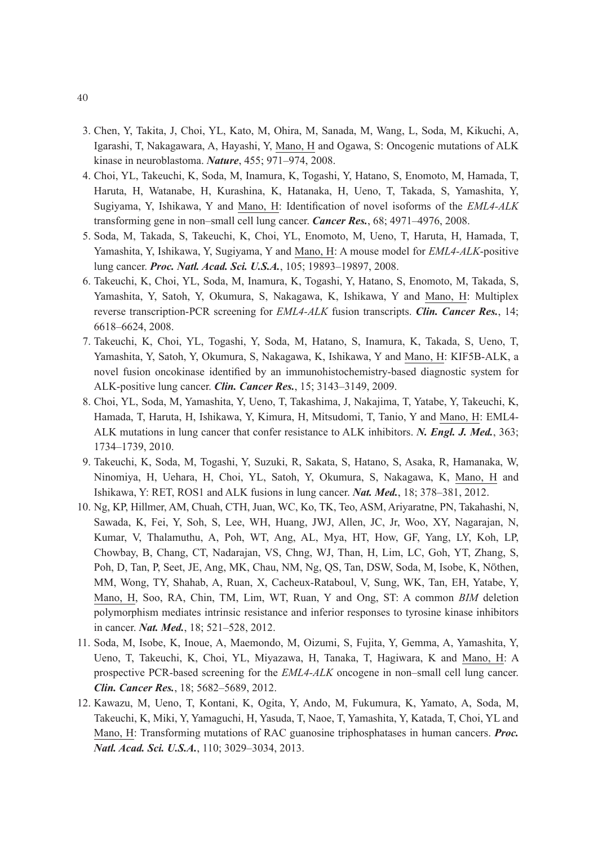- 3. Chen, Y, Takita, J, Choi, YL, Kato, M, Ohira, M, Sanada, M, Wang, L, Soda, M, Kikuchi, A, Igarashi, T, Nakagawara, A, Hayashi, Y, Mano, H and Ogawa, S: Oncogenic mutations of ALK kinase in neuroblastoma. *Nature*, 455; 971–974, 2008.
- 4. Choi, YL, Takeuchi, K, Soda, M, Inamura, K, Togashi, Y, Hatano, S, Enomoto, M, Hamada, T, Haruta, H, Watanabe, H, Kurashina, K, Hatanaka, H, Ueno, T, Takada, S, Yamashita, Y, Sugiyama, Y, Ishikawa, Y and Mano, H: Identification of novel isoforms of the *EML4-ALK* transforming gene in non–small cell lung cancer. *Cancer Res.*, 68; 4971–4976, 2008.
- 5. Soda, M, Takada, S, Takeuchi, K, Choi, YL, Enomoto, M, Ueno, T, Haruta, H, Hamada, T, Yamashita, Y, Ishikawa, Y, Sugiyama, Y and Mano, H: A mouse model for *EML4-ALK*-positive lung cancer. *Proc. Natl. Acad. Sci. U.S.A.*, 105; 19893–19897, 2008.
- 6. Takeuchi, K, Choi, YL, Soda, M, Inamura, K, Togashi, Y, Hatano, S, Enomoto, M, Takada, S, Yamashita, Y, Satoh, Y, Okumura, S, Nakagawa, K, Ishikawa, Y and Mano, H: Multiplex reverse transcription-PCR screening for *EML4-ALK* fusion transcripts. *Clin. Cancer Res.*, 14; 6618–6624, 2008.
- 7. Takeuchi, K, Choi, YL, Togashi, Y, Soda, M, Hatano, S, Inamura, K, Takada, S, Ueno, T, Yamashita, Y, Satoh, Y, Okumura, S, Nakagawa, K, Ishikawa, Y and Mano, H: KIF5B-ALK, a novel fusion oncokinase identified by an immunohistochemistry-based diagnostic system for ALK-positive lung cancer. *Clin. Cancer Res.*, 15; 3143–3149, 2009.
- 8. Choi, YL, Soda, M, Yamashita, Y, Ueno, T, Takashima, J, Nakajima, T, Yatabe, Y, Takeuchi, K, Hamada, T, Haruta, H, Ishikawa, Y, Kimura, H, Mitsudomi, T, Tanio, Y and Mano, H: EML4- ALK mutations in lung cancer that confer resistance to ALK inhibitors. *N. Engl. J. Med.*, 363; 1734–1739, 2010.
- 9. Takeuchi, K, Soda, M, Togashi, Y, Suzuki, R, Sakata, S, Hatano, S, Asaka, R, Hamanaka, W, Ninomiya, H, Uehara, H, Choi, YL, Satoh, Y, Okumura, S, Nakagawa, K, Mano, H and Ishikawa, Y: RET, ROS1 and ALK fusions in lung cancer. *Nat. Med.*, 18; 378–381, 2012.
- 10. Ng, KP, Hillmer, AM, Chuah, CTH, Juan, WC, Ko, TK, Teo, ASM, Ariyaratne, PN, Takahashi, N, Sawada, K, Fei, Y, Soh, S, Lee, WH, Huang, JWJ, Allen, JC, Jr, Woo, XY, Nagarajan, N, Kumar, V, Thalamuthu, A, Poh, WT, Ang, AL, Mya, HT, How, GF, Yang, LY, Koh, LP, Chowbay, B, Chang, CT, Nadarajan, VS, Chng, WJ, Than, H, Lim, LC, Goh, YT, Zhang, S, Poh, D, Tan, P, Seet, JE, Ang, MK, Chau, NM, Ng, QS, Tan, DSW, Soda, M, Isobe, K, NÖthen, MM, Wong, TY, Shahab, A, Ruan, X, Cacheux-Rataboul, V, Sung, WK, Tan, EH, Yatabe, Y, Mano, H, Soo, RA, Chin, TM, Lim, WT, Ruan, Y and Ong, ST: A common *BIM* deletion polymorphism mediates intrinsic resistance and inferior responses to tyrosine kinase inhibitors in cancer. *Nat. Med.*, 18; 521–528, 2012.
- 11. Soda, M, Isobe, K, Inoue, A, Maemondo, M, Oizumi, S, Fujita, Y, Gemma, A, Yamashita, Y, Ueno, T, Takeuchi, K, Choi, YL, Miyazawa, H, Tanaka, T, Hagiwara, K and Mano, H: A prospective PCR-based screening for the *EML4-ALK* oncogene in non–small cell lung cancer. *Clin. Cancer Res.*, 18; 5682–5689, 2012.
- 12. Kawazu, M, Ueno, T, Kontani, K, Ogita, Y, Ando, M, Fukumura, K, Yamato, A, Soda, M, Takeuchi, K, Miki, Y, Yamaguchi, H, Yasuda, T, Naoe, T, Yamashita, Y, Katada, T, Choi, YL and Mano, H: Transforming mutations of RAC guanosine triphosphatases in human cancers. *Proc. Natl. Acad. Sci. U.S.A.*, 110; 3029–3034, 2013.